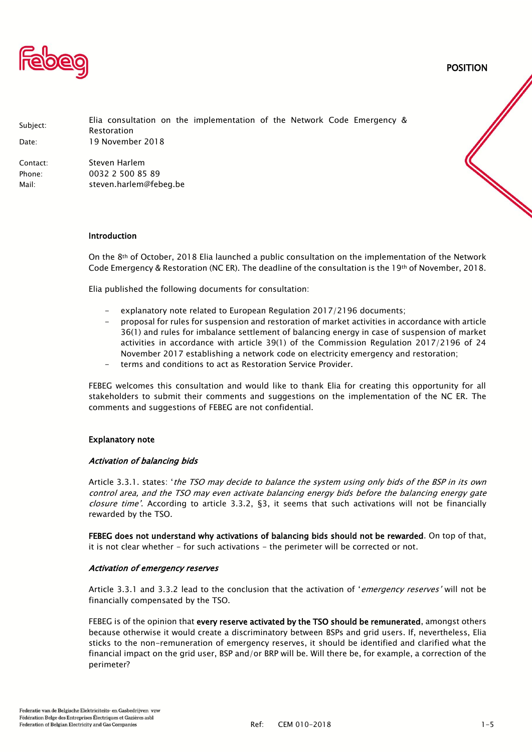

POSITION

| Subject:<br>Date: | Elia consultation on the implementation of the Network Code Emergency &<br>Restoration<br>19 November 2018 |
|-------------------|------------------------------------------------------------------------------------------------------------|
| Contact:          | Steven Harlem                                                                                              |
| Phone:            | 0032 2 500 85 89                                                                                           |
| Mail:             | steven.harlem@febeg.be                                                                                     |

#### Introduction

On the 8th of October, 2018 Elia launched a public consultation on the implementation of the Network Code Emergency & Restoration (NC ER). The deadline of the consultation is the 19th of November, 2018.

Elia published the following documents for consultation:

- explanatory note related to European Regulation 2017/2196 documents:
- proposal for rules for suspension and restoration of market activities in accordance with article 36(1) and rules for imbalance settlement of balancing energy in case of suspension of market activities in accordance with article 39(1) of the Commission Regulation 2017/2196 of 24 November 2017 establishing a network code on electricity emergency and restoration;
- terms and conditions to act as Restoration Service Provider.

FEBEG welcomes this consultation and would like to thank Elia for creating this opportunity for all stakeholders to submit their comments and suggestions on the implementation of the NC ER. The comments and suggestions of FEBEG are not confidential.

#### Explanatory note

#### Activation of balancing bids

Article 3.3.1. states: 'the TSO may decide to balance the system using only bids of the BSP in its own control area, and the TSO may even activate balancing energy bids before the balancing energy gate closure time'. According to article 3.3.2, §3, it seems that such activations will not be financially rewarded by the TSO.

FEBEG does not understand why activations of balancing bids should not be rewarded. On top of that, it is not clear whether - for such activations - the perimeter will be corrected or not.

#### Activation of emergency reserves

Article 3.3.1 and 3.3.2 lead to the conclusion that the activation of 'emergency reserves' will not be financially compensated by the TSO.

FEBEG is of the opinion that every reserve activated by the TSO should be remunerated, amongst others because otherwise it would create a discriminatory between BSPs and grid users. If, nevertheless, Elia sticks to the non-remuneration of emergency reserves, it should be identified and clarified what the financial impact on the grid user, BSP and/or BRP will be. Will there be, for example, a correction of the perimeter?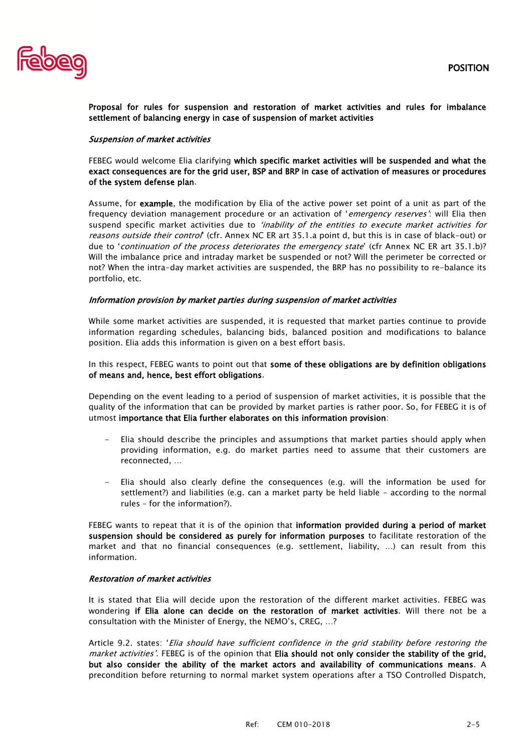

Proposal for rules for suspension and restoration of market activities and rules for imbalance settlement of balancing energy in case of suspension of market activities

## Suspension of market activities

FEBEG would welcome Elia clarifying which specific market activities will be suspended and what the exact consequences are for the grid user, BSP and BRP in case of activation of measures or procedures of the system defense plan.

Assume, for example, the modification by Elia of the active power set point of a unit as part of the frequency deviation management procedure or an activation of 'emergency reserves': will Elia then suspend specific market activities due to 'inability of the entities to execute market activities for reasons outside their control' (cfr. Annex NC ER art 35.1.a point d, but this is in case of black-out) or due to 'continuation of the process deteriorates the emergency state' (cfr Annex NC ER art 35.1.b)? Will the imbalance price and intraday market be suspended or not? Will the perimeter be corrected or not? When the intra-day market activities are suspended, the BRP has no possibility to re-balance its portfolio, etc.

### Information provision by market parties during suspension of market activities

While some market activities are suspended, it is requested that market parties continue to provide information regarding schedules, balancing bids, balanced position and modifications to balance position. Elia adds this information is given on a best effort basis.

In this respect, FEBEG wants to point out that some of these obligations are by definition obligations of means and, hence, best effort obligations.

Depending on the event leading to a period of suspension of market activities, it is possible that the quality of the information that can be provided by market parties is rather poor. So, for FEBEG it is of utmost importance that Elia further elaborates on this information provision:

- Elia should describe the principles and assumptions that market parties should apply when providing information, e.g. do market parties need to assume that their customers are reconnected, …
- Elia should also clearly define the consequences (e.g. will the information be used for settlement?) and liabilities (e.g. can a market party be held liable – according to the normal rules – for the information?).

FEBEG wants to repeat that it is of the opinion that information provided during a period of market suspension should be considered as purely for information purposes to facilitate restoration of the market and that no financial consequences (e.g. settlement, liability, …) can result from this information.

## Restoration of market activities

It is stated that Elia will decide upon the restoration of the different market activities. FEBEG was wondering if Elia alone can decide on the restoration of market activities. Will there not be a consultation with the Minister of Energy, the NEMO's, CREG, …?

Article 9.2. states: 'Elia should have sufficient confidence in the grid stability before restoring the market activities'. FEBEG is of the opinion that Elia should not only consider the stability of the grid, but also consider the ability of the market actors and availability of communications means. A precondition before returning to normal market system operations after a TSO Controlled Dispatch,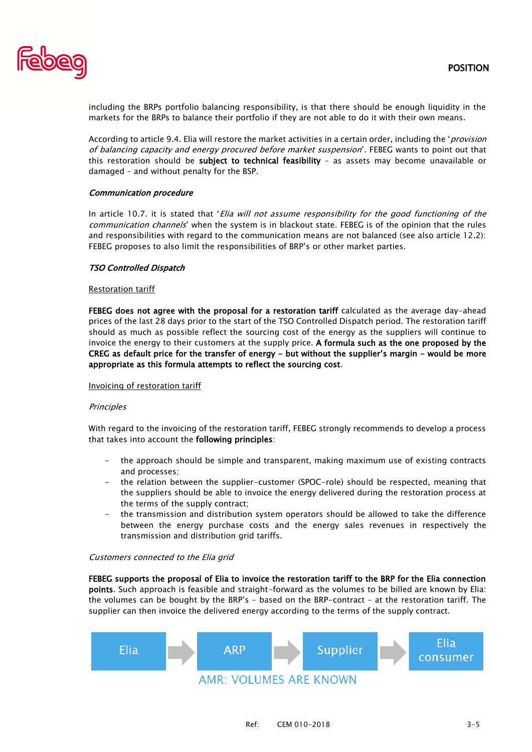

including the BRPs portfolio balancing responsibility, is that there should be enough liquidity in the markets for the BRPs to balance their portfolio if they are not able to do it with their own means.

According to article 9.4. Elia will restore the market activities in a certain order, including the '*provision* of balancing capacity and energy procured before market suspension'. FEBEG wants to point out that this restoration should be subject to technical feasibility - as assets may become unavailable or damaged – and without penalty for the BSP.

## Communication procedure

In article 10.7. it is stated that 'Elia will not assume responsibility for the good functioning of the communication channels' when the system is in blackout state. FEBEG is of the opinion that the rules and responsibilities with regard to the communication means are not balanced (see also article 12.2): FEBEG proposes to also limit the responsibilities of BRP's or other market parties.

### TSO Controlled Dispatch

#### Restoration tariff

FEBEG does not agree with the proposal for a restoration tariff calculated as the average day-ahead prices of the last 28 days prior to the start of the TSO Controlled Dispatch period. The restoration tariff should as much as possible reflect the sourcing cost of the energy as the suppliers will continue to invoice the energy to their customers at the supply price. A formula such as the one proposed by the CREG as default price for the transfer of energy - but without the supplier's margin - would be more appropriate as this formula attempts to reflect the sourcing cost.

#### Invoicing of restoration tariff

#### **Principles**

With regard to the invoicing of the restoration tariff, FEBEG strongly recommends to develop a process that takes into account the following principles:

- the approach should be simple and transparent, making maximum use of existing contracts and processes;
- the relation between the supplier-customer (SPOC-role) should be respected, meaning that the suppliers should be able to invoice the energy delivered during the restoration process at the terms of the supply contract;
- the transmission and distribution system operators should be allowed to take the difference between the energy purchase costs and the energy sales revenues in respectively the transmission and distribution grid tariffs.

#### Customers connected to the Elia grid

FEBEG supports the proposal of Elia to invoice the restoration tariff to the BRP for the Elia connection points. Such approach is feasible and straight-forward as the volumes to be billed are known by Elia: the volumes can be bought by the BRP's – based on the BRP-contract – at the restoration tariff. The supplier can then invoice the delivered energy according to the terms of the supply contract.

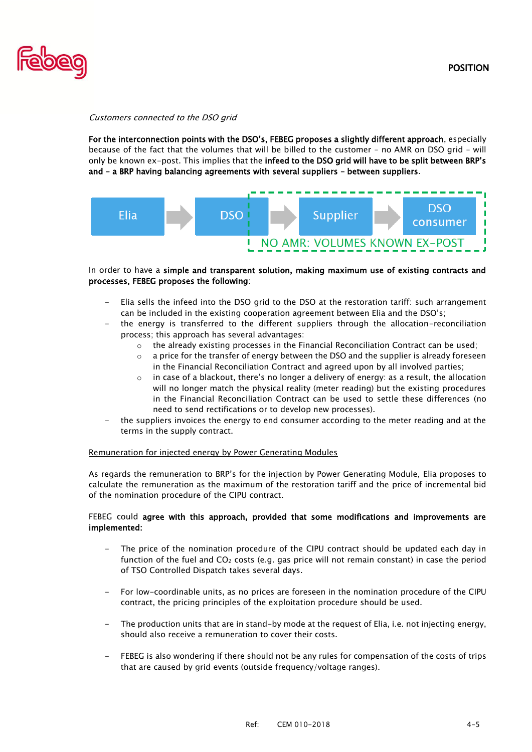

Customers connected to the DSO grid

For the interconnection points with the DSO's, FEBEG proposes a slightly different approach, especially because of the fact that the volumes that will be billed to the customer – no AMR on DSO grid – will only be known ex-post. This implies that the infeed to the DSO grid will have to be split between BRP's and – a BRP having balancing agreements with several suppliers – between suppliers.



# In order to have a simple and transparent solution, making maximum use of existing contracts and processes, FEBEG proposes the following:

- Elia sells the infeed into the DSO grid to the DSO at the restoration tariff: such arrangement can be included in the existing cooperation agreement between Elia and the DSO's;
- the energy is transferred to the different suppliers through the allocation-reconciliation process; this approach has several advantages:
	- o the already existing processes in the Financial Reconciliation Contract can be used;
	- $\circ$  a price for the transfer of energy between the DSO and the supplier is already foreseen in the Financial Reconciliation Contract and agreed upon by all involved parties;
	- $\circ$  in case of a blackout, there's no longer a delivery of energy: as a result, the allocation will no longer match the physical reality (meter reading) but the existing procedures in the Financial Reconciliation Contract can be used to settle these differences (no need to send rectifications or to develop new processes).
- the suppliers invoices the energy to end consumer according to the meter reading and at the terms in the supply contract.

## Remuneration for injected energy by Power Generating Modules

As regards the remuneration to BRP's for the injection by Power Generating Module, Elia proposes to calculate the remuneration as the maximum of the restoration tariff and the price of incremental bid of the nomination procedure of the CIPU contract.

# FEBEG could agree with this approach, provided that some modifications and improvements are implemented:

- The price of the nomination procedure of the CIPU contract should be updated each day in function of the fuel and  $CO<sub>2</sub>$  costs (e.g. gas price will not remain constant) in case the period of TSO Controlled Dispatch takes several days.
- For low-coordinable units, as no prices are foreseen in the nomination procedure of the CIPU contract, the pricing principles of the exploitation procedure should be used.
- The production units that are in stand-by mode at the request of Elia, i.e. not injecting energy, should also receive a remuneration to cover their costs.
- FEBEG is also wondering if there should not be any rules for compensation of the costs of trips that are caused by grid events (outside frequency/voltage ranges).